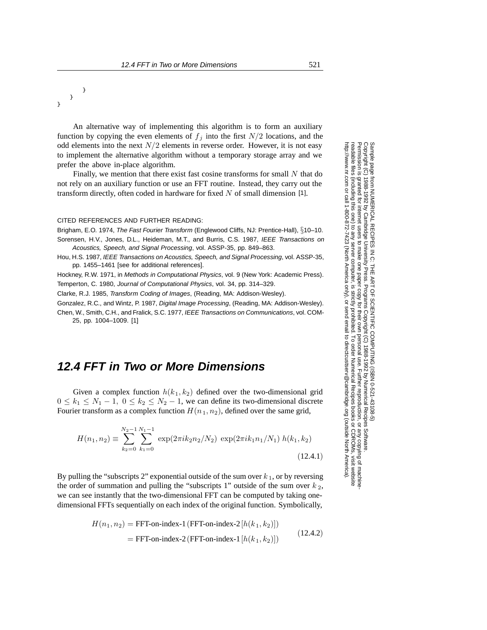## } } }

An alternative way of implementing this algorithm is to form an auxiliary function by copying the even elements of  $f_j$  into the first  $N/2$  locations, and the odd elements into the next  $N/2$  elements in reverse order. However, it is not easy to implement the alternative algorithm without a temporary storage array and we prefer the above in-place algorithm.

Finally, we mention that there exist fast cosine transforms for small  $N$  that do not rely on an auxiliary function or use an FFT routine. Instead, they carry out the transform directly, often coded in hardware for fixed  $N$  of small dimension [1].

## CITED REFERENCES AND FURTHER READING:

Brigham, E.O. 1974, The Fast Fourier Transform (Englewood Cliffs, NJ: Prentice-Hall), §10-10. Sorensen, H.V., Jones, D.L., Heideman, M.T., and Burris, C.S. 1987, IEEE Transactions on Acoustics, Speech, and Signal Processing, vol. ASSP-35, pp. 849–863.

Hou, H.S. 1987, IEEE Transactions on Acoustics, Speech, and Signal Processing, vol. ASSP-35, pp. 1455–1461 [see for additional references].

Hockney, R.W. 1971, in Methods in Computational Physics, vol. 9 (New York: Academic Press). Temperton, C. 1980, Journal of Computational Physics, vol. 34, pp. 314–329.

Clarke, R.J. 1985, Transform Coding of Images, (Reading, MA: Addison-Wesley).

Gonzalez, R.C., and Wintz, P. 1987, Digital Image Processing, (Reading, MA: Addison-Wesley). Chen, W., Smith, C.H., and Fralick, S.C. 1977, IEEE Transactions on Communications, vol. COM-

25, pp. 1004–1009. [1]

## **12.4 FFT in Two or More Dimensions**

Given a complex function  $h(k_1, k_2)$  defined over the two-dimensional grid  $0 \leq k_1 \leq N_1 - 1$ ,  $0 \leq k_2 \leq N_2 - 1$ , we can define its two-dimensional discrete Fourier transform as a complex function  $H(n_1, n_2)$ , defined over the same grid,

$$
H(n_1, n_2) \equiv \sum_{k_2=0}^{N_2-1} \sum_{k_1=0}^{N_1-1} \exp(2\pi i k_2 n_2/N_2) \exp(2\pi i k_1 n_1/N_1) h(k_1, k_2)
$$
\n(12.4.1)

By pulling the "subscripts 2" exponential outside of the sum over  $k_1$ , or by reversing the order of summation and pulling the "subscripts 1" outside of the sum over  $k_2$ , we can see instantly that the two-dimensional FFT can be computed by taking onedimensional FFTs sequentially on each index of the original function. Symbolically,

$$
H(n_1, n_2) = \text{FFT-on-index-1 (FFT-on-index-2}[h(k_1, k_2)])
$$
  
= FFT-on-index-2 (FFT-on-index-1 [h(k\_1, k\_2)]) (12.4.2)

Permission is granted for internet users to make one paper copy for their own personal use. Further reproduction, or any copyin Copyright (C) 1988-1992 by Cambridge University Press.Programs Copyright (C) 1988-1992 by Numerical Recipes Software. Sample page from NUMERICAL RECIPES IN C: THE ART OF SCIENTIFIC COMPUTING (ISBN 0-521-43108-5) g of machinereadable files (including this one) to any servercomputer, is strictly prohibited. To order Numerical Recipes booksor CDROMs, visit website http://www.nr.com or call 1-800-872-7423 (North America only),ttp://www.nr.com or call 1-800-872-7423 (North America only), or send email to directcustserv@cambridge.org (outside North America) or send email to directcustserv@cambridge.org (outside North America).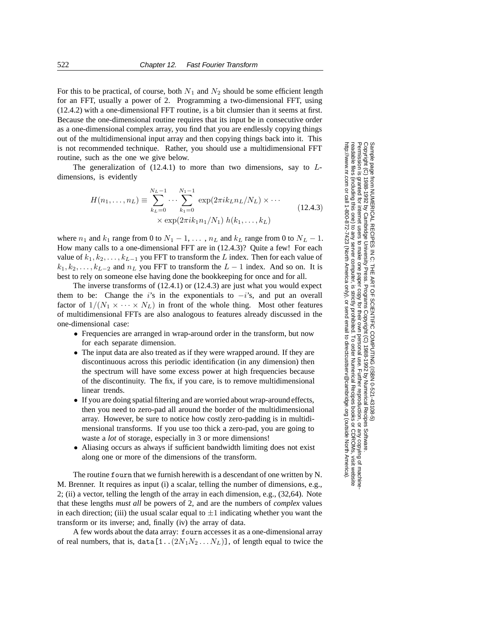For this to be practical, of course, both  $N_1$  and  $N_2$  should be some efficient length for an FFT, usually a power of 2. Programming a two-dimensional FFT, using (12.4.2) with a one-dimensional FFT routine, is a bit clumsier than it seems at first. Because the one-dimensional routine requires that its input be in consecutive order as a one-dimensional complex array, you find that you are endlessly copying things out of the multidimensional input array and then copying things back into it. This is not recommended technique. Rather, you should use a multidimensional FFT routine, such as the one we give below.

The generalization of  $(12.4.1)$  to more than two dimensions, say to  $L$ dimensions, is evidently

$$
H(n_1, ..., n_L) \equiv \sum_{k_L=0}^{N_L-1} \cdots \sum_{k_1=0}^{N_1-1} \exp(2\pi i k_L n_L / N_L) \times \cdots
$$
  
×  $\exp(2\pi i k_1 n_1 / N_1) h(k_1, ..., k_L)$  (12.4.3)

where  $n_1$  and  $k_1$  range from 0 to  $N_1 - 1, \ldots, n_L$  and  $k_L$  range from 0 to  $N_L - 1$ . How many calls to a one-dimensional FFT are in (12.4.3)? Quite a few! For each value of  $k_1, k_2, \ldots, k_{L-1}$  you FFT to transform the L index. Then for each value of  $k_1, k_2, \ldots, k_{L-2}$  and  $n_L$  you FFT to transform the  $L-1$  index. And so on. It is best to rely on someone else having done the bookkeeping for once and for all.

The inverse transforms of (12.4.1) or (12.4.3) are just what you would expect them to be: Change the i's in the exponentials to  $-i$ 's, and put an overall factor of  $1/(N_1 \times \cdots \times N_L)$  in front of the whole thing. Most other features of multidimensional FFTs are also analogous to features already discussed in the one-dimensional case:

- Frequencies are arranged in wrap-around order in the transform, but now for each separate dimension.
- The input data are also treated as if they were wrapped around. If they are discontinuous across this periodic identification (in any dimension) then the spectrum will have some excess power at high frequencies because of the discontinuity. The fix, if you care, is to remove multidimensional linear trends.
- If you are doing spatial filtering and are worried about wrap-around effects, then you need to zero-pad all around the border of the multidimensional array. However, be sure to notice how costly zero-padding is in multidimensional transforms. If you use too thick a zero-pad, you are going to waste a *lot* of storage, especially in 3 or more dimensions!
- Aliasing occurs as always if sufficient bandwidth limiting does not exist along one or more of the dimensions of the transform.

The routine fourn that we furnish herewith is a descendant of one written by N. M. Brenner. It requires as input (i) a scalar, telling the number of dimensions, e.g., 2; (ii) a vector, telling the length of the array in each dimension, e.g., (32,64). Note that these lengths *must all* be powers of 2, and are the numbers of *complex* values in each direction; (iii) the usual scalar equal to  $\pm 1$  indicating whether you want the transform or its inverse; and, finally (iv) the array of data.

A few words about the data array: fourn accesses it as a one-dimensional array of real numbers, that is, data  $[1..(2N_1N_2...N_L)]$ , of length equal to twice the

Permission is granted for internet users to make one paper copy for their own personal use. Further reproduction, or any copyin Copyright (C) 1988-1992 by Cambridge University Press.Programs Copyright (C) 1988-1992 by Numerical Recipes Software. Sample page from NUMERICAL RECIPES IN C: THE ART OF SCIENTIFIC COMPUTING (ISBN 0-521-43108-5) g of machinereadable files (including this one) to any servercomputer, is strictly prohibited. To order Numerical Recipes booksor CDROMs, visit website http://www.nr.com or call 1-800-872-7423 (North America only),or send email to directcustserv@cambridge.org (outside North America).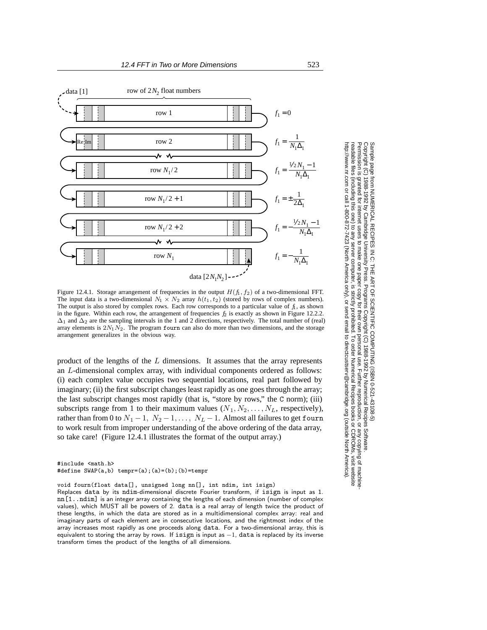

Figure 12.4.1. Storage arrangement of frequencies in the output  $H(f_1, f_2)$  of a two-dimensional FFT. The input data is a two-dimensional  $N_1 \times N_2$  array  $h(t_1, t_2)$  (stored by rows of complex numbers). The output is also stored by complex rows. Each row corresponds to a particular value of  $f_1$ , as shown in the figure. Within each row, the arrangement of frequencies  $f_2$  is exactly as shown in Figure 12.2.2.  $\Delta_1$  and  $\Delta_2$  are the sampling intervals in the 1 and 2 directions, respectively. The total number of (real) array elements is  $2N_1N_2$ . The program fourn can also do more than two dimensions, and the storage arrangement generalizes in the obvious way.

product of the lengths of the  $L$  dimensions. It assumes that the array represents an L-dimensional complex array, with individual components ordered as follows: (i) each complex value occupies two sequential locations, real part followed by imaginary; (ii) the first subscript changes least rapidly as one goes through the array; the last subscript changes most rapidly (that is, "store by rows," the C norm); (iii) subscripts range from 1 to their maximum values  $(N_1, N_2, \ldots, N_L)$ , respectively), rather than from 0 to  $N_1 - 1$ ,  $N_2 - 1$ , ...,  $N_L - 1$ . Almost all failures to get fourn to work result from improper understanding of the above ordering of the data array, so take care! (Figure 12.4.1 illustrates the format of the output array.)

#include <math.h> #define  $SWAP(a,b)$  tempr=(a);(a)=(b);(b)=tempr

void fourn(float data[], unsigned long nn[], int ndim, int isign)

Replaces data by its ndim-dimensional discrete Fourier transform, if isign is input as 1. nn[1..ndim] is an integer array containing the lengths of each dimension (number of complex values), which MUST all be powers of 2. data is a real array of length twice the product of these lengths, in which the data are stored as in a multidimensional complex array: real and imaginary parts of each element are in consecutive locations, and the rightmost index of the array increases most rapidly as one proceeds along data. For a two-dimensional array, this is equivalent to storing the array by rows. If isign is input as *−*1, data is replaced by its inverse transform times the product of the lengths of all dimensions.

Permission is granted for internet users to make one paper copy for their own personal use. Further reproduction, or any copyin Copyright (C) 1988-1992 by Cambridge University Press.Programs Copyright (C) 1988-1992 by Numerical Recipes Software. Sample page from NUMERICAL RECIPES IN C: THE ART OF SCIENTIFIC COMPUTING (ISBN 0-521-43108-5) g of machinereadable files (including this one) to any servercomputer, is strictly prohibited. To order Numerical Recipes booksor CDROMs, visit website http://www.nr.com or call 1-800-872-7423 (North America only),or send email to directcustserv@cambridge.org (outside North America).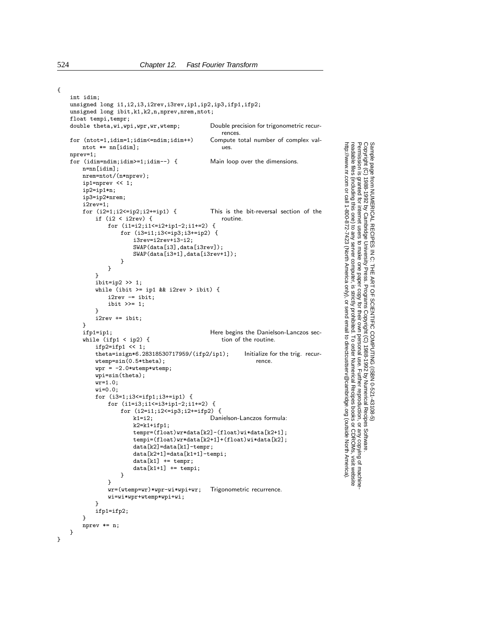int idim; unsigned long i1,i2,i3,i2rev,i3rev,ip1,ip2,ip3,ifp1,ifp2; unsigned long ibit,k1,k2,n,nprev,nrem,ntot; float tempi, tempr;<br>double theta, wi, wpi, wpr, wr, wtemp; Double precision for trigonometric recurrences.<br>Compute total number of complex valfor  $(nto=1, idim=1; idim<=ndim; idim++)$  Comput<br>ntot  $*=nnlidim!$ ntot  $*=$  nn [idim]; nprev=1; for (idim=ndim;idim>=1;idim--) { Main loop over the dimensions. n=nn[idim]; nrem=ntot/(n\*nprev); ip1=nprev  $\lt$  1; ip2=ip1\*n; ip3=ip2\*nrem;  $i2rev=1$ ;<br>for  $(i2=1;i2<=ip2;i2+=ip1)$  { This is the bit-reversal section of the routine. if  $(i2 < i2rev)$  { for (i1=i2;i1<=i2+ip1-2;i1+=2) { for (i3=i1;i3<=ip3;i3+=ip2) { i3rev=i2rev+i3-i2; SWAP(data[i3],data[i3rev]); SWAP(data[i3+1],data[i3rev+1]); } } } ibit=ip2  $\gg$  1; while (ibit  $>=$  ip1 && i2rev  $>$  ibit) {  $i2rev = ibit;$ ibit >>= 1; } i2rev += ibit; }<br>ifp1=ip1; Here begins the Danielson-Lanczos sec-<br>tion of the routine. while (ifp1  $\langle$  ip2) { ifp2=ifp1  $\lt\lt 1$ ; theta=isign\*6.28318530717959/(ifp2/ip1); Initialize for the trig. recurwtemp=sin(0.5\*theta); rence.  $wpr = -2.0*wtemp*wtemp;$ wpi=sin(theta);  $wr=1.0$ ; wi=0.0; for (i3=1;i3<=ifp1;i3+=ip1) { for (i1=i3;i1<=i3+ip1-2;i1+=2) { for  $(i2=i1;i2\le ip3;i2+=ifp2)$  {<br>k1=i2; Dani Danielson-Lanczos formula:  $k2=k1+ifp1;$ tempr=(float)wr\*data[k2]-(float)wi\*data[k2+1]; tempi=(float)wr\*data[k2+1]+(float)wi\*data[k2]; data[k2]=data[k1]-tempr;  $data[k2+1]=data[k1+1]-tempi;$ data[k1] += tempr;  $data[k1+1] += tempi;$ } } wr=(wtemp=wr)\*wpr-wi\*wpi+wr; Trigonometric recurrence. wi=wi\*wpr+wtemp\*wpi+wi; }

ifp1=ifp2;

nprev \*= n;

}

} }

Permission is granted for internet users to make one paper copy for their own personal use. Further reproduction, or any copyin Copyright (C) 1988-1992 by Cambridge University Press.Programs Copyright (C) 1988-1992 by Numerical Recipes Software. Sample page from NUMERICAL RECIPES IN C: THE ART OF SCIENTIFIC COMPUTING (ISBN 0-521-43108-5) g of machinereadable files (including this one) to any servercomputer, is strictly prohibited. To order Numerical Recipes booksor CDROMs, visit website http://www.nr.com or call 1-800-872-7423 (North America only),or send email to directcustserv@cambridge.org (outside North America).

{